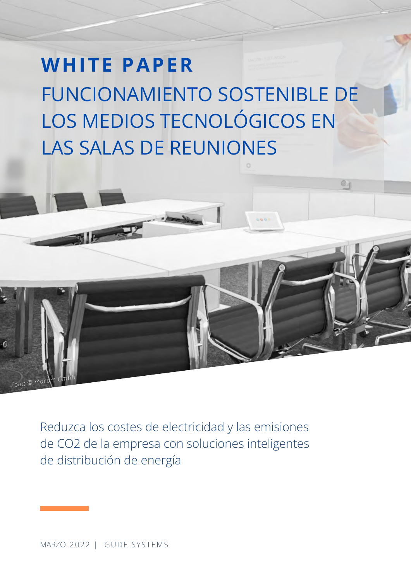# **WHITE PAPER** FUNCIONAMIENTO SOSTENIBLE DE LOS MEDIOS TECNOLÓGICOS EN LAS SALAS DE REUNIONES

Reduzca los costes de electricidad y las emisiones de CO2 de la empresa con soluciones inteligentes de distribución de energía

*Foto: © mal*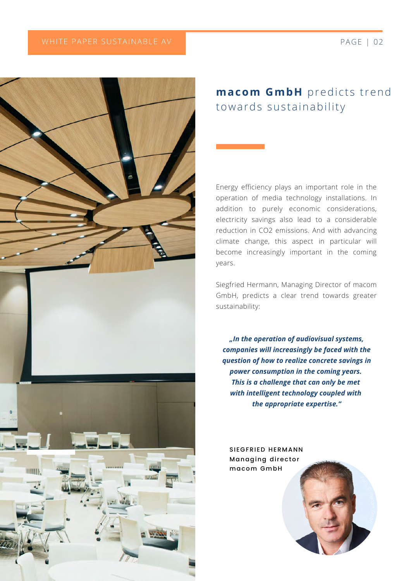

### **macom GmbH** predicts trend towards sustainability

Energy efficiency plays an important role in the operation of media technology installations. In addition to purely economic considerations, electricity savings also lead to a considerable reduction in CO2 emissions. And with advancing climate change, this aspect in particular will become increasingly important in the coming years.

Siegfried Hermann, Managing Director of macom GmbH, predicts a clear trend towards greater sustainability:

*"In the operation of audiovisual systems, companies will increasingly be faced with the question of how to realize concrete savings in power consumption in the coming years. This is a challenge that can only be met with intelligent technology coupled with the appropriate expertise."*

SIEGFRIED HERMANN Managing director macom GmbH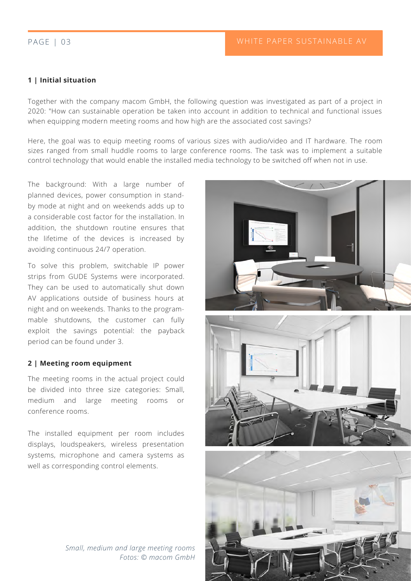#### PAGE | 03

#### **1 | Initial situation**

Together with the company macom GmbH, the following question was investigated as part of a project in 2020: "How can sustainable operation be taken into account in addition to technical and functional issues when equipping modern meeting rooms and how high are the associated cost savings?

Here, the goal was to equip meeting rooms of various sizes with audio/video and IT hardware. The room sizes ranged from small huddle rooms to large conference rooms. The task was to implement a suitable control technology that would enable the installed media technology to be switched off when not in use.

The background: With a large number of planned devices, power consumption in standby mode at night and on weekends adds up to a considerable cost factor for the installation. In addition, the shutdown routine ensures that the lifetime of the devices is increased by avoiding continuous 24/7 operation.

To solve this problem, switchable IP power strips from GUDE Systems were incorporated. They can be used to automatically shut down AV applications outside of business hours at night and on weekends. Thanks to the programmable shutdowns, the customer can fully exploit the savings potential: the payback period can be found under 3.

#### **2 | Meeting room equipment**

The meeting rooms in the actual project could be divided into three size categories: Small, medium and large meeting rooms conference rooms.

The installed equipment per room includes displays, loudspeakers, wireless presentation systems, microphone and camera systems as well as corresponding control elements.





*Small, medium and large meeting rooms Fotos: © macom GmbH*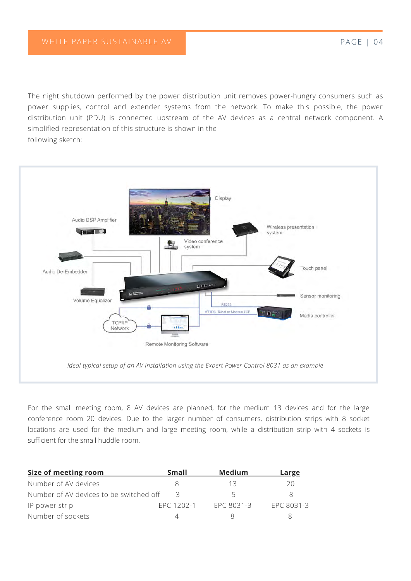The night shutdown performed by the power distribution unit removes power-hungry consumers such as power supplies, control and extender systems from the network. To make this possible, the power distribution unit (PDU) is connected upstream of the AV devices as a central network component. A simplified representation of this structure is shown in the following sketch:



For the small meeting room, 8 AV devices are planned, for the medium 13 devices and for the large conference room 20 devices. Due to the larger number of consumers, distribution strips with 8 socket locations are used for the medium and large meeting room, while a distribution strip with 4 sockets is sufficient for the small huddle room.

| Size of meeting room                    | Small      | Medium     | Large      |
|-----------------------------------------|------------|------------|------------|
| Number of AV devices                    |            | 13         | 20         |
| Number of AV devices to be switched off | R          |            | 8          |
| IP power strip                          | FPC 1202-1 | EPC 8031-3 | EPC 8031-3 |
| Number of sockets                       |            |            |            |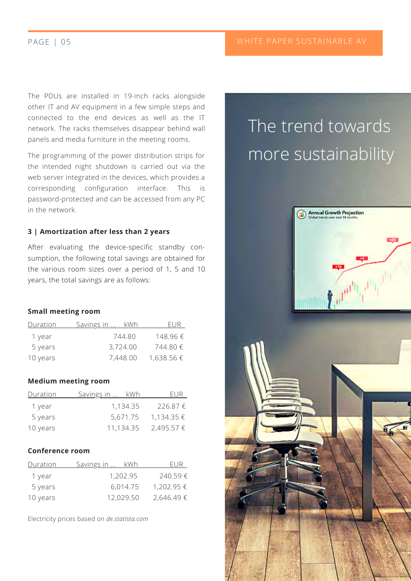The PDUs are installed in 19-inch racks alongside other IT and AV equipment in a few simple steps and connected to the end devices as well as the IT network. The racks themselves disappear behind wall panels and media furniture in the meeting rooms.

The programming of the power distribution strips for the intended night shutdown is carried out via the web server integrated in the devices, which provides a corresponding configuration interface. This is password-protected and can be accessed from any PC in the network.

#### **3 | Amortization after less than 2 years**

After evaluating the device-specific standby consumption, the following total savings are obtained for the various room sizes over a period of 1, 5 and 10 years, the total savings are as follows:

#### **Small meeting room**

| <b>Duration</b> | <u>Savings in </u><br>kWh | FUR        |
|-----------------|---------------------------|------------|
| 1 year          | 744.80                    | 148.96 f   |
| 5 years         | 3,724.00                  | 744.80€    |
| 10 years        | 7,448.00                  | 1,638.56 € |

#### **Medium meeting room**

| Duration | <u>Savings in  kWh</u> | FUR.              |
|----------|------------------------|-------------------|
| 1 year   | 1,134.35               | 226.87€           |
| 5 years  | 5,671.75               | $1,134.35 \in$    |
| 10 years | 11,134.35              | $2,495.57 \notin$ |

#### **Conference room**

| Duration | <u>Savings in </u> | kWh      | EUR.       |
|----------|--------------------|----------|------------|
| 1 year   | 1,202.95           |          | 240.59€    |
| 5 years  |                    | 6,014.75 | 1,202.95 € |
| 10 years | 12,029.50          |          | 2,646.49€  |

Electricity prices based on *de.statista.com*

## The trend towards more sustainability

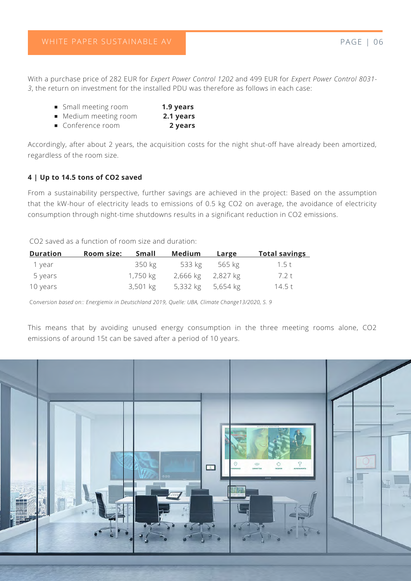With a purchase price of 282 EUR for *Expert Power Control 1202* and 499 EUR for *Expert Power Control 8031- 3*, the return on investment for the installed PDU was therefore as follows in each case:

|  |  | ■ Small meeting room | 1.9 years |
|--|--|----------------------|-----------|
|--|--|----------------------|-----------|

- Medium meeting room **2.1 years**
- Conference room **2 years**

Accordingly, after about 2 years, the acquisition costs for the night shut-off have already been amortized, regardless of the room size.

#### **4 | Up to 14.5 tons of CO2 saved**

From a sustainability perspective, further savings are achieved in the project: Based on the assumption that the kW-hour of electricity leads to emissions of 0.5 kg CO2 on average, the avoidance of electricity consumption through night-time shutdowns results in a significant reduction in CO2 emissions.

CO2 saved as a function of room size and duration:

| <u>Duration</u> | <b>Room size:</b> | Small      | Medium            | Large  | <u>Total savings</u> |
|-----------------|-------------------|------------|-------------------|--------|----------------------|
| 1 vear          |                   | 350 kg     | 533 kg            | 565 kg | 1.5 t                |
| 5 years         |                   | 1,750 kg   | 2,666 kg 2,827 kg |        | 7.2 t                |
| 10 years        |                   | $3,501$ kg | 5,332 kg 5,654 kg |        | 14.5 t               |

Co*nversion based on:: Energiemix in Deutschland 2019, Quelle: UBA, Climate Change13/2020, S. 9*

This means that by avoiding unused energy consumption in the three meeting rooms alone, CO2 emissions of around 15t can be saved after a period of 10 years.